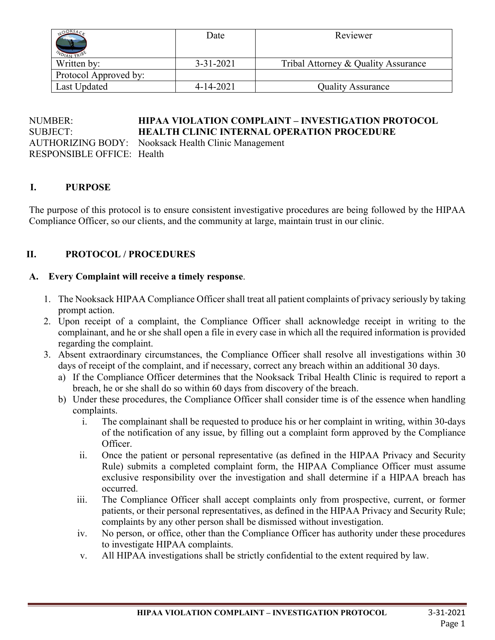| $N_{D1}$              | Date            | Reviewer                            |
|-----------------------|-----------------|-------------------------------------|
| Written by:           | $3 - 31 - 2021$ | Tribal Attorney & Quality Assurance |
| Protocol Approved by: |                 |                                     |
| Last Updated          | $4 - 14 - 2021$ | <b>Quality Assurance</b>            |

#### NUMBER: **HIPAA VIOLATION COMPLAINT – INVESTIGATION PROTOCOL** SUBJECT: **HEALTH CLINIC INTERNAL OPERATION PROCEDURE** AUTHORIZING BODY: Nooksack Health Clinic Management RESPONSIBLE OFFICE: Health

#### **I. PURPOSE**

The purpose of this protocol is to ensure consistent investigative procedures are being followed by the HIPAA Compliance Officer, so our clients, and the community at large, maintain trust in our clinic.

#### **II. PROTOCOL / PROCEDURES**

#### **A. Every Complaint will receive a timely response**.

- 1. The Nooksack HIPAA Compliance Officer shall treat all patient complaints of privacy seriously by taking prompt action.
- 2. Upon receipt of a complaint, the Compliance Officer shall acknowledge receipt in writing to the complainant, and he or she shall open a file in every case in which all the required information is provided regarding the complaint.
- 3. Absent extraordinary circumstances, the Compliance Officer shall resolve all investigations within 30 days of receipt of the complaint, and if necessary, correct any breach within an additional 30 days.
	- a) If the Compliance Officer determines that the Nooksack Tribal Health Clinic is required to report a breach, he or she shall do so within 60 days from discovery of the breach.
	- b) Under these procedures, the Compliance Officer shall consider time is of the essence when handling complaints.
		- i. The complainant shall be requested to produce his or her complaint in writing, within 30-days of the notification of any issue, by filling out a complaint form approved by the Compliance Officer.
		- ii. Once the patient or personal representative (as defined in the HIPAA Privacy and Security Rule) submits a completed complaint form, the HIPAA Compliance Officer must assume exclusive responsibility over the investigation and shall determine if a HIPAA breach has occurred.
		- iii. The Compliance Officer shall accept complaints only from prospective, current, or former patients, or their personal representatives, as defined in the HIPAA Privacy and Security Rule; complaints by any other person shall be dismissed without investigation.
		- iv. No person, or office, other than the Compliance Officer has authority under these procedures to investigate HIPAA complaints.
		- v. All HIPAA investigations shall be strictly confidential to the extent required by law.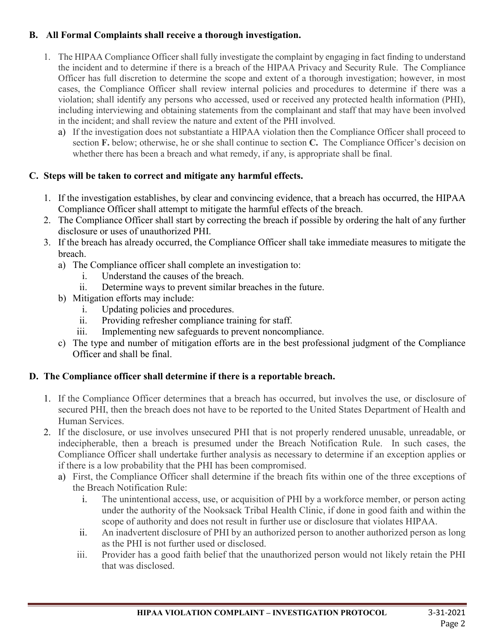## **B. All Formal Complaints shall receive a thorough investigation.**

- 1. The HIPAA Compliance Officer shall fully investigate the complaint by engaging in fact finding to understand the incident and to determine if there is a breach of the HIPAA Privacy and Security Rule. The Compliance Officer has full discretion to determine the scope and extent of a thorough investigation; however, in most cases, the Compliance Officer shall review internal policies and procedures to determine if there was a violation; shall identify any persons who accessed, used or received any protected health information (PHI), including interviewing and obtaining statements from the complainant and staff that may have been involved in the incident; and shall review the nature and extent of the PHI involved.
	- a) If the investigation does not substantiate a HIPAA violation then the Compliance Officer shall proceed to section **F.** below; otherwise, he or she shall continue to section **C.** The Compliance Officer's decision on whether there has been a breach and what remedy, if any, is appropriate shall be final.

# **C. Steps will be taken to correct and mitigate any harmful effects.**

- 1. If the investigation establishes, by clear and convincing evidence, that a breach has occurred, the HIPAA Compliance Officer shall attempt to mitigate the harmful effects of the breach.
- 2. The Compliance Officer shall start by correcting the breach if possible by ordering the halt of any further disclosure or uses of unauthorized PHI.
- 3. If the breach has already occurred, the Compliance Officer shall take immediate measures to mitigate the breach.
	- a) The Compliance officer shall complete an investigation to:
		- i. Understand the causes of the breach.
		- ii. Determine ways to prevent similar breaches in the future.
	- b) Mitigation efforts may include:
		- i. Updating policies and procedures.
		- ii. Providing refresher compliance training for staff.
		- iii. Implementing new safeguards to prevent noncompliance.
	- c) The type and number of mitigation efforts are in the best professional judgment of the Compliance Officer and shall be final.

# **D. The Compliance officer shall determine if there is a reportable breach.**

- 1. If the Compliance Officer determines that a breach has occurred, but involves the use, or disclosure of secured PHI, then the breach does not have to be reported to the United States Department of Health and Human Services.
- 2. If the disclosure, or use involves unsecured PHI that is not properly rendered unusable, unreadable, or indecipherable, then a breach is presumed under the Breach Notification Rule. In such cases, the Compliance Officer shall undertake further analysis as necessary to determine if an exception applies or if there is a low probability that the PHI has been compromised.
	- a) First, the Compliance Officer shall determine if the breach fits within one of the three exceptions of the Breach Notification Rule:
		- i. The unintentional access, use, or acquisition of PHI by a workforce member, or person acting under the authority of the Nooksack Tribal Health Clinic, if done in good faith and within the scope of authority and does not result in further use or disclosure that violates HIPAA.
		- ii. An inadvertent disclosure of PHI by an authorized person to another authorized person as long as the PHI is not further used or disclosed.
		- iii. Provider has a good faith belief that the unauthorized person would not likely retain the PHI that was disclosed.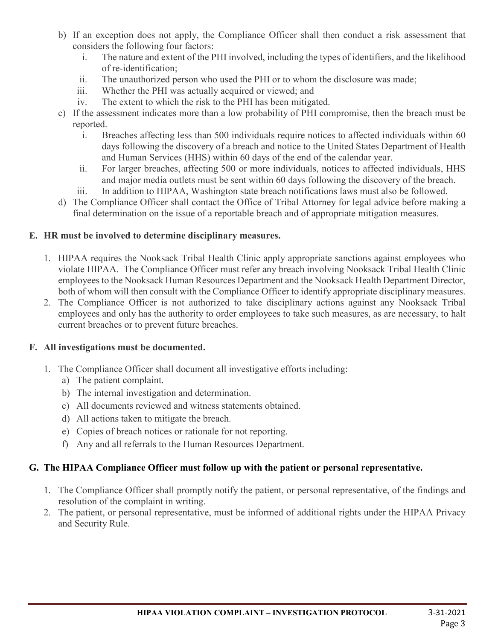- b) If an exception does not apply, the Compliance Officer shall then conduct a risk assessment that considers the following four factors:
	- i. The nature and extent of the PHI involved, including the types of identifiers, and the likelihood of re-identification;
	- ii. The unauthorized person who used the PHI or to whom the disclosure was made;
	- iii. Whether the PHI was actually acquired or viewed; and
	- iv. The extent to which the risk to the PHI has been mitigated.
- c) If the assessment indicates more than a low probability of PHI compromise, then the breach must be reported.
	- i. Breaches affecting less than 500 individuals require notices to affected individuals within 60 days following the discovery of a breach and notice to the United States Department of Health and Human Services (HHS) within 60 days of the end of the calendar year.
	- ii. For larger breaches, affecting 500 or more individuals, notices to affected individuals, HHS and major media outlets must be sent within 60 days following the discovery of the breach.
	- iii. In addition to HIPAA, Washington state breach notifications laws must also be followed.
- d) The Compliance Officer shall contact the Office of Tribal Attorney for legal advice before making a final determination on the issue of a reportable breach and of appropriate mitigation measures.

### **E. HR must be involved to determine disciplinary measures.**

- 1. HIPAA requires the Nooksack Tribal Health Clinic apply appropriate sanctions against employees who violate HIPAA. The Compliance Officer must refer any breach involving Nooksack Tribal Health Clinic employees to the Nooksack Human Resources Department and the Nooksack Health Department Director, both of whom will then consult with the Compliance Officer to identify appropriate disciplinary measures.
- 2. The Compliance Officer is not authorized to take disciplinary actions against any Nooksack Tribal employees and only has the authority to order employees to take such measures, as are necessary, to halt current breaches or to prevent future breaches.

## **F. All investigations must be documented.**

- 1. The Compliance Officer shall document all investigative efforts including:
	- a) The patient complaint.
	- b) The internal investigation and determination.
	- c) All documents reviewed and witness statements obtained.
	- d) All actions taken to mitigate the breach.
	- e) Copies of breach notices or rationale for not reporting.
	- f) Any and all referrals to the Human Resources Department.

## **G. The HIPAA Compliance Officer must follow up with the patient or personal representative.**

- 1. The Compliance Officer shall promptly notify the patient, or personal representative, of the findings and resolution of the complaint in writing.
- 2. The patient, or personal representative, must be informed of additional rights under the HIPAA Privacy and Security Rule.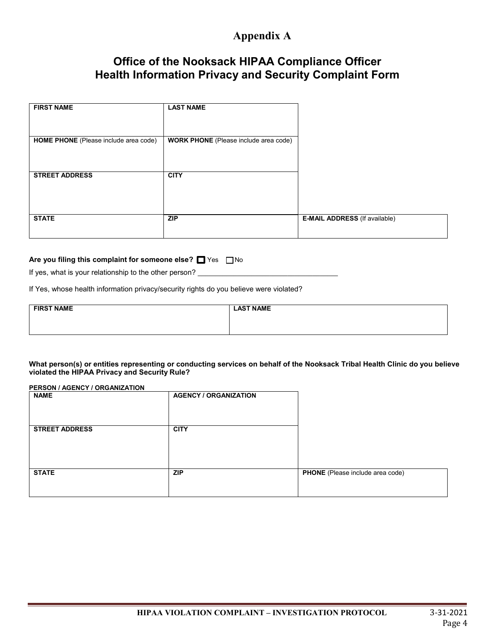# **Appendix A**

# **Office of the Nooksack HIPAA Compliance Officer Health Information Privacy and Security Complaint Form**

| <b>FIRST NAME</b>                     | <b>LAST NAME</b>                             |                                      |
|---------------------------------------|----------------------------------------------|--------------------------------------|
|                                       |                                              |                                      |
|                                       |                                              |                                      |
| HOME PHONE (Please include area code) | <b>WORK PHONE</b> (Please include area code) |                                      |
|                                       |                                              |                                      |
|                                       |                                              |                                      |
| <b>STREET ADDRESS</b>                 | <b>CITY</b>                                  |                                      |
|                                       |                                              |                                      |
|                                       |                                              |                                      |
|                                       |                                              |                                      |
| <b>STATE</b>                          | <b>ZIP</b>                                   | <b>E-MAIL ADDRESS</b> (If available) |
|                                       |                                              |                                      |

#### Are you filing this complaint for someone else? <sup>1</sup> Yes  $\Box$  No

If yes, what is your relationship to the other person?

If Yes, whose health information privacy/security rights do you believe were violated?

| <b>FIRST NAME</b> | <b>LAST NAME</b> |
|-------------------|------------------|
|                   |                  |
|                   |                  |

**What person(s) or entities representing or conducting services on behalf of the Nooksack Tribal Health Clinic do you believe violated the HIPAA Privacy and Security Rule?**

**PERSON / AGENCY / ORGANIZATION**

| <b>NAME</b>           | <b>AGENCY / ORGANIZATION</b> |                                  |
|-----------------------|------------------------------|----------------------------------|
| <b>STREET ADDRESS</b> | <b>CITY</b>                  |                                  |
| <b>STATE</b>          | <b>ZIP</b>                   | PHONE (Please include area code) |